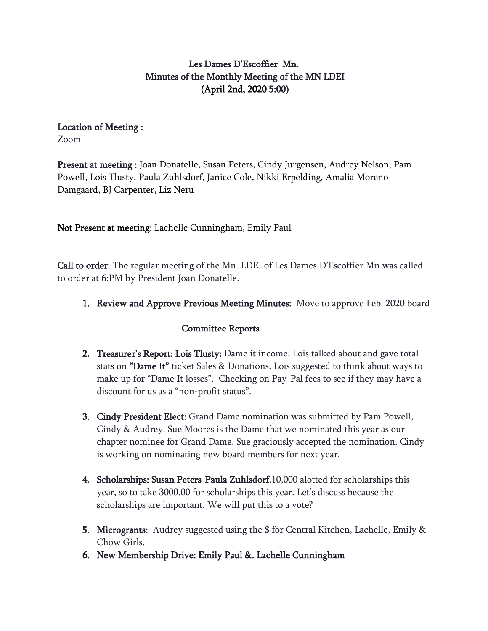# Les Dames D'Escoffier Mn. Minutes of the Monthly Meeting of the MN LDEI (April 2nd, 2020 5:00)

## Location of Meeting :

Zoom

Present at meeting : Joan Donatelle, Susan Peters, Cindy Jurgensen, Audrey Nelson, Pam Powell, Lois Tlusty, Paula Zuhlsdorf, Janice Cole, Nikki Erpelding, Amalia Moreno Damgaard, BJ Carpenter, Liz Neru

Not Present at meeting: Lachelle Cunningham, Emily Paul

Call to order: The regular meeting of the Mn. LDEI of Les Dames D'Escoffier Mn was called to order at 6:PM by President Joan Donatelle.

1. Review and Approve Previous Meeting Minutes: Move to approve Feb. 2020 board

## Committee Reports

- 2. Treasurer's Report: Lois Tlusty: Dame it income: Lois talked about and gave total stats on "Dame It" ticket Sales & Donations. Lois suggested to think about ways to make up for "Dame It losses". Checking on Pay-Pal fees to see if they may have a discount for us as a "non-profit status".
- 3. Cindy President Elect: Grand Dame nomination was submitted by Pam Powell, Cindy & Audrey. Sue Moores is the Dame that we nominated this year as our chapter nominee for Grand Dame. Sue graciously accepted the nomination. Cindy is working on nominating new board members for next year.
- 4. Scholarships: Susan Peters-Paula Zuhlsdorf,10,000 alotted for scholarships this year, so to take 3000.00 for scholarships this year. Let's discuss because the scholarships are important. We will put this to a vote?
- 5. Microgrants: Audrey suggested using the \$ for Central Kitchen, Lachelle, Emily & Chow Girls.
- 6. New Membership Drive: Emily Paul &. Lachelle Cunningham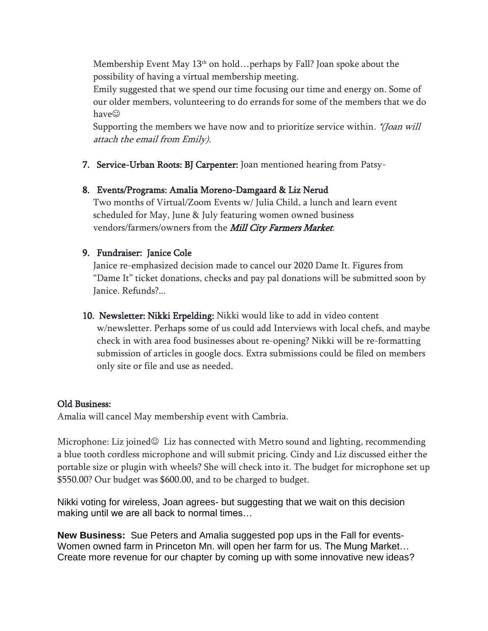Membership Event May  $13<sup>th</sup>$  on hold…perhaps by Fall? Joan spoke about the possibility of having a virtual membership meeting.

Emily suggested that we spend our time focusing our time and energy on. Some of our older members, volunteering to do errands for some of the members that we do have☺

Supporting the members we have now and to prioritize service within. \*(Joan will attach the email from Emily).

7. Service-Urban Roots: BJ Carpenter: Joan mentioned hearing from Patsy-

## 8. Events/Programs: Amalia Moreno-Damgaard & Liz Nerud

Two months of Virtual/Zoom Events w/ Julia Child, a lunch and learn event scheduled for May, June & July featuring women owned business vendors/farmers/owners from the Mill City Farmers Market.

#### 9. Fundraiser: Janice Cole

Janice re-emphasized decision made to cancel our 2020 Dame It. Figures from "Dame It" ticket donations, checks and pay pal donations will be submitted soon by Janice. Refunds?...

10. Newsletter: Nikki Erpelding: Nikki would like to add in video content w/newsletter. Perhaps some of us could add Interviews with local chefs, and maybe check in with area food businesses about re-opening? Nikki will be re-formatting submission of articles in google docs. Extra submissions could be filed on members only site or file and use as needed.

#### Old Business:

Amalia will cancel May membership event with Cambria.

Microphone: Liz joined $\odot$  Liz has connected with Metro sound and lighting, recommending a blue tooth cordless microphone and will submit pricing. Cindy and Liz discussed either the portable size or plugin with wheels? She will check into it. The budget for microphone set up \$550.00? Our budget was \$600.00, and to be charged to budget.

Nikki voting for wireless, Joan agrees- but suggesting that we wait on this decision making until we are all back to normal times…

**New Business:** Sue Peters and Amalia suggested pop ups in the Fall for events-Women owned farm in Princeton Mn. will open her farm for us. The Mung Market… Create more revenue for our chapter by coming up with some innovative new ideas?